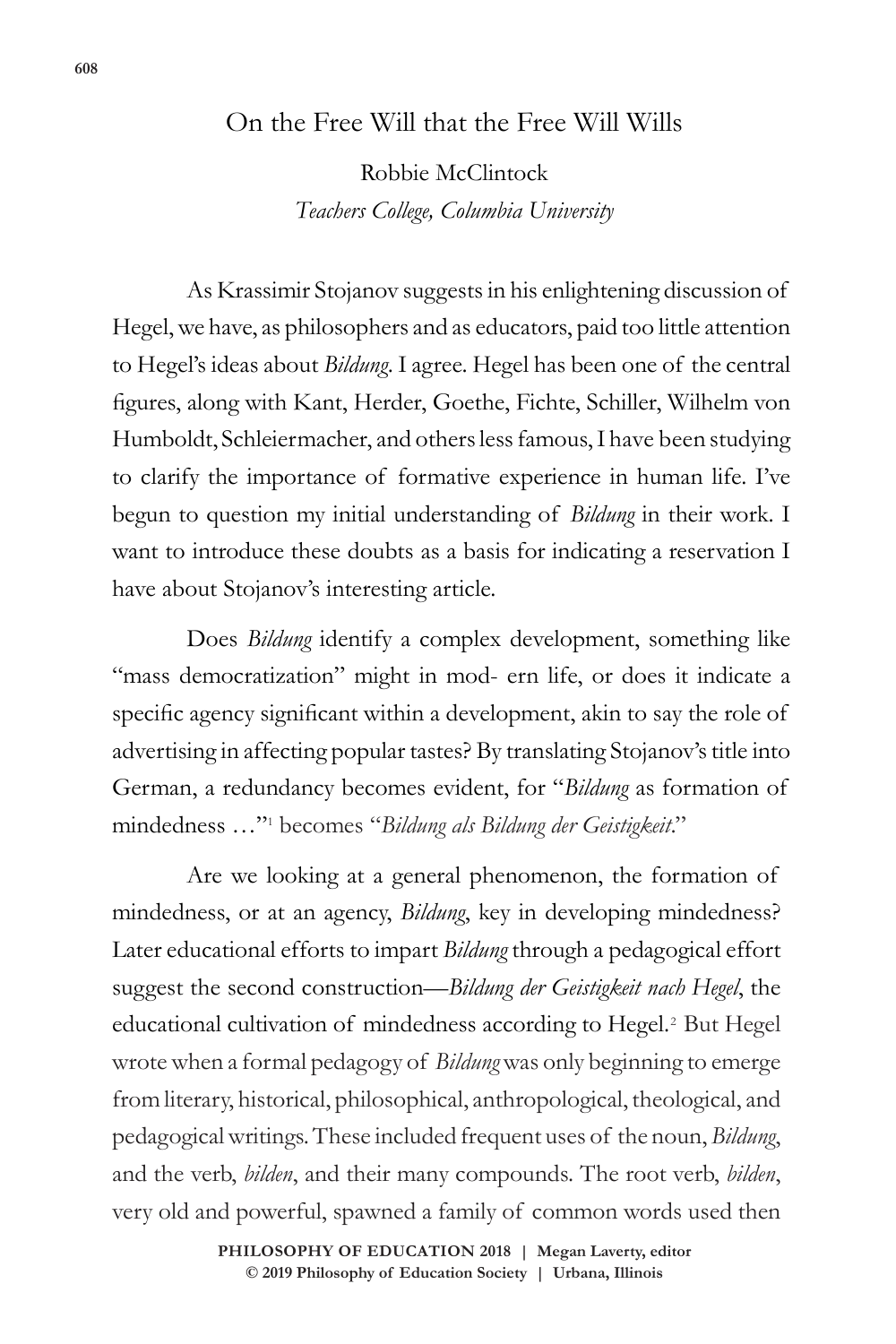## On the Free Will that the Free Will Wills

Robbie McClintock *Teachers College, Columbia University*

As Krassimir Stojanov suggests in his enlightening discussion of Hegel, we have, as philosophers and as educators, paid too little attention to Hegel's ideas about *Bildung*. I agree. Hegel has been one of the central figures, along with Kant, Herder, Goethe, Fichte, Schiller, Wilhelm von Humboldt, Schleiermacher, and others less famous, I have been studying to clarify the importance of formative experience in human life. I've begun to question my initial understanding of *Bildung* in their work. I want to introduce these doubts as a basis for indicating a reservation I have about Stojanov's interesting article.

Does *Bildung* identify a complex development, something like "mass democratization" might in mod- ern life, or does it indicate a specific agency significant within a development, akin to say the role of advertising in affecting popular tastes? By translating Stojanov's title into German, a redundancy becomes evident, for "*Bildung* as formation of mindedness …"1 becomes "*Bildung als Bildung der Geistigkeit*."

Are we looking at a general phenomenon, the formation of mindedness, or at an agency, *Bildung*, key in developing mindedness? Later educational efforts to impart *Bildung* through a pedagogical effort suggest the second construction—*Bildung der Geistigkeit nach Hegel*, the educational cultivation of mindedness according to Hegel.<sup>2</sup> But Hegel wrote when a formal pedagogy of *Bildung* was only beginning to emerge from literary, historical, philosophical, anthropological, theological, and pedagogical writings. These included frequent uses of the noun, *Bildung*, and the verb, *bilden*, and their many compounds. The root verb, *bilden*, very old and powerful, spawned a family of common words used then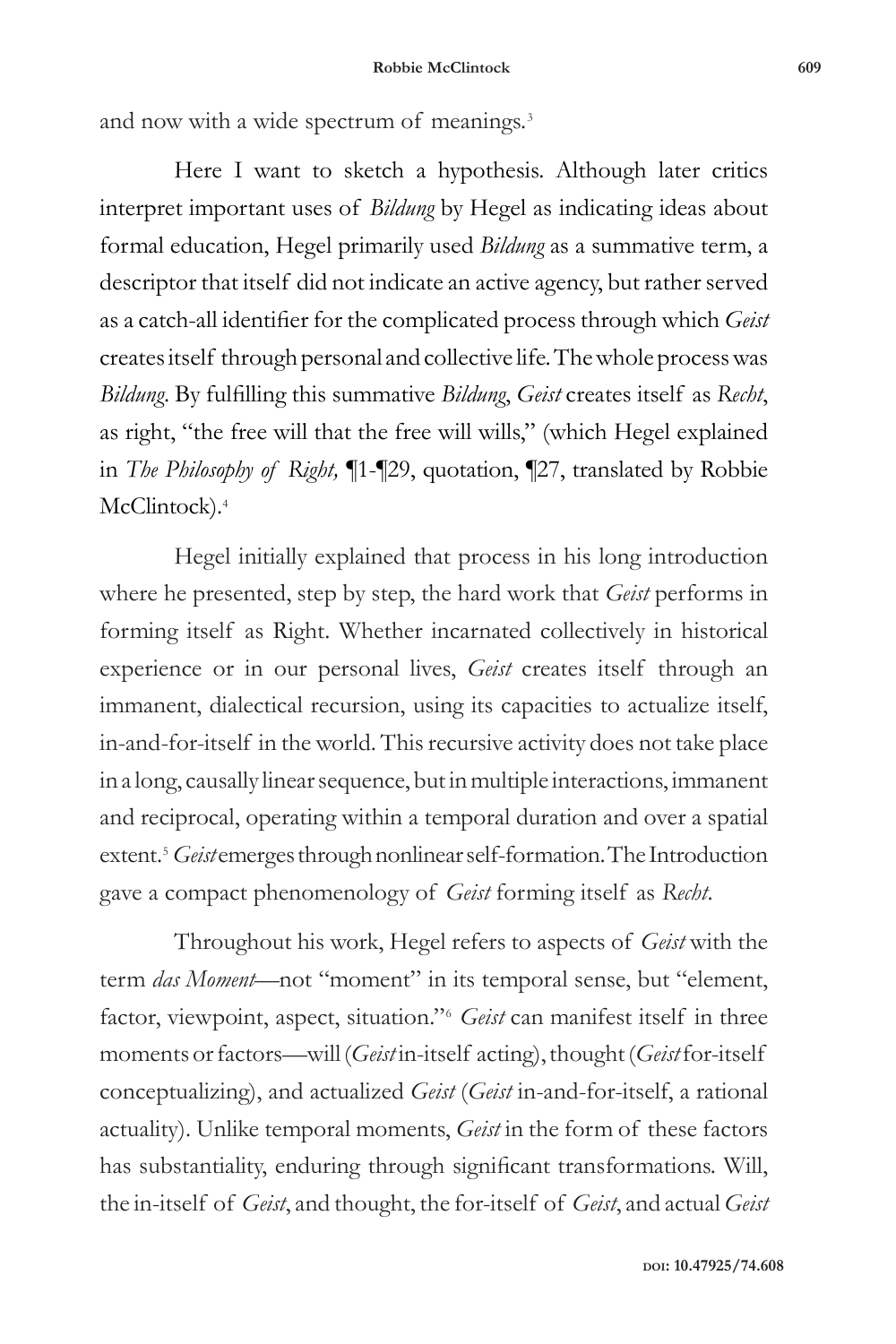and now with a wide spectrum of meanings.<sup>3</sup>

Here I want to sketch a hypothesis. Although later critics interpret important uses of *Bildung* by Hegel as indicating ideas about formal education, Hegel primarily used *Bildung* as a summative term, a descriptor that itself did not indicate an active agency, but rather served as a catch-all identifier for the complicated process through which *Geist*  creates itself through personal and collective life. The whole process was *Bildung*. By fulfilling this summative *Bildung*, *Geist* creates itself as *Recht*, as right, "the free will that the free will wills," (which Hegel explained in *The Philosophy of Right,* ¶1-¶29, quotation, ¶27, translated by Robbie McClintock).<sup>4</sup>

Hegel initially explained that process in his long introduction where he presented, step by step, the hard work that *Geist* performs in forming itself as Right. Whether incarnated collectively in historical experience or in our personal lives, *Geist* creates itself through an immanent, dialectical recursion, using its capacities to actualize itself, in-and-for-itself in the world. This recursive activity does not take place in a long, causally linear sequence, but in multiple interactions, immanent and reciprocal, operating within a temporal duration and over a spatial extent.<sup>5</sup> *Geist* emerges through nonlinear self-formation. The Introduction gave a compact phenomenology of *Geist* forming itself as *Recht*.

Throughout his work, Hegel refers to aspects of *Geist* with the term *das Moment*—not "moment" in its temporal sense, but "element, factor, viewpoint, aspect, situation."6 *Geist* can manifest itself in three moments or factors—will (*Geist* in-itself acting), thought (*Geist* for-itself conceptualizing), and actualized *Geist* (*Geist* in-and-for-itself, a rational actuality). Unlike temporal moments, *Geist* in the form of these factors has substantiality, enduring through significant transformations. Will, the in-itself of *Geist*, and thought, the for-itself of *Geist*, and actual *Geist*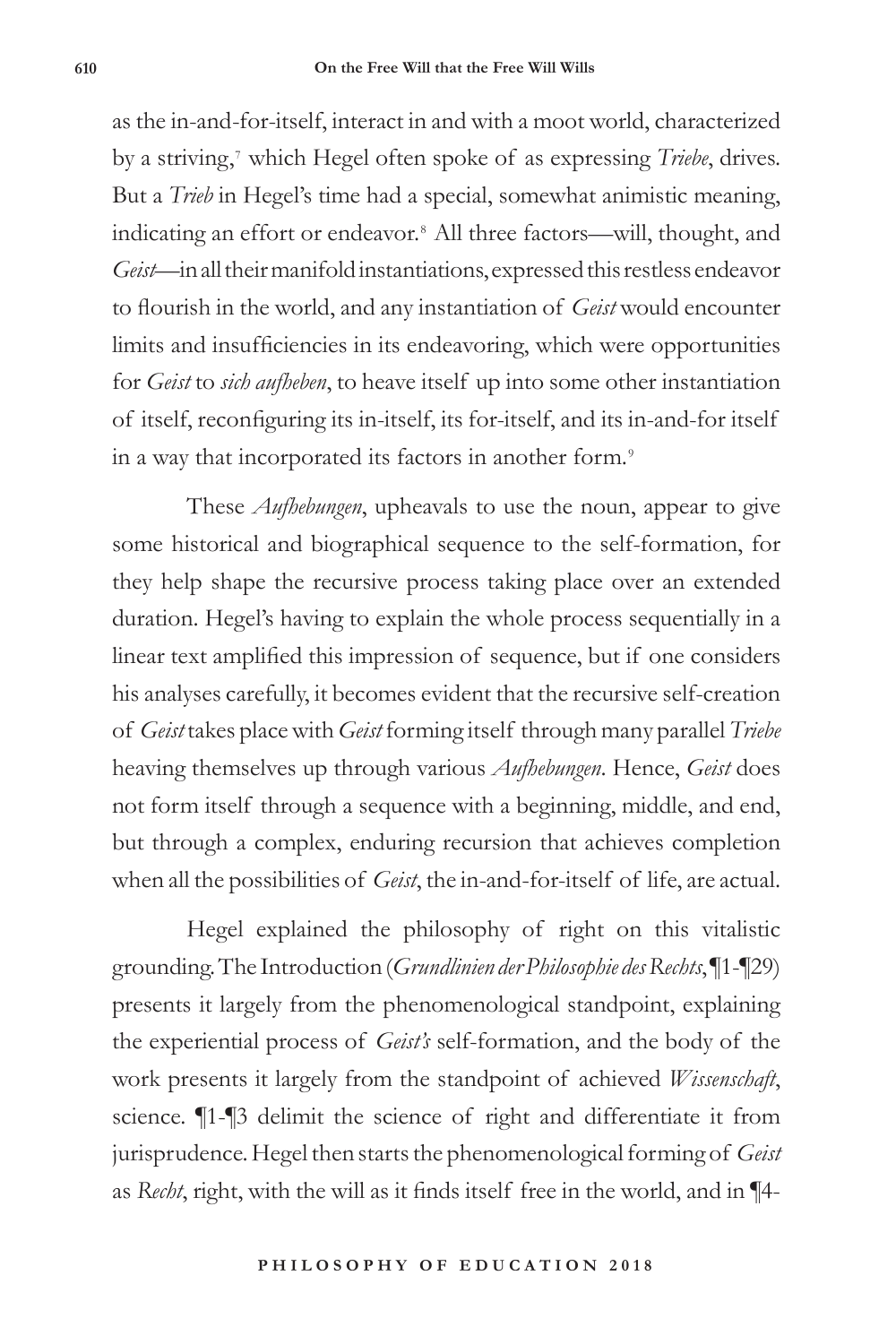as the in-and-for-itself, interact in and with a moot world, characterized by a striving,7 which Hegel often spoke of as expressing *Triebe*, drives. But a *Trieb* in Hegel's time had a special, somewhat animistic meaning, indicating an effort or endeavor.8 All three factors—will, thought, and *Geist*—in all their manifold instantiations, expressed this restless endeavor to flourish in the world, and any instantiation of *Geist* would encounter limits and insufficiencies in its endeavoring, which were opportunities for *Geist* to *sich aufheben*, to heave itself up into some other instantiation of itself, reconfiguring its in-itself, its for-itself, and its in-and-for itself in a way that incorporated its factors in another form.<sup>9</sup>

These *Aufhebungen*, upheavals to use the noun, appear to give some historical and biographical sequence to the self-formation, for they help shape the recursive process taking place over an extended duration. Hegel's having to explain the whole process sequentially in a linear text amplified this impression of sequence, but if one considers his analyses carefully, it becomes evident that the recursive self-creation of *Geist* takes place with *Geist* forming itself through many parallel *Triebe*  heaving themselves up through various *Aufhebungen*. Hence, *Geist* does not form itself through a sequence with a beginning, middle, and end, but through a complex, enduring recursion that achieves completion when all the possibilities of *Geist*, the in-and-for-itself of life, are actual.

Hegel explained the philosophy of right on this vitalistic grounding. The Introduction (*Grundlinien der Philosophie des Rechts*, ¶1-¶29) presents it largely from the phenomenological standpoint, explaining the experiential process of *Geist's* self-formation, and the body of the work presents it largely from the standpoint of achieved *Wissenschaft*, science. ¶1-¶3 delimit the science of right and differentiate it from jurisprudence. Hegel then starts the phenomenological forming of *Geist*  as *Recht*, right, with the will as it finds itself free in the world, and in ¶4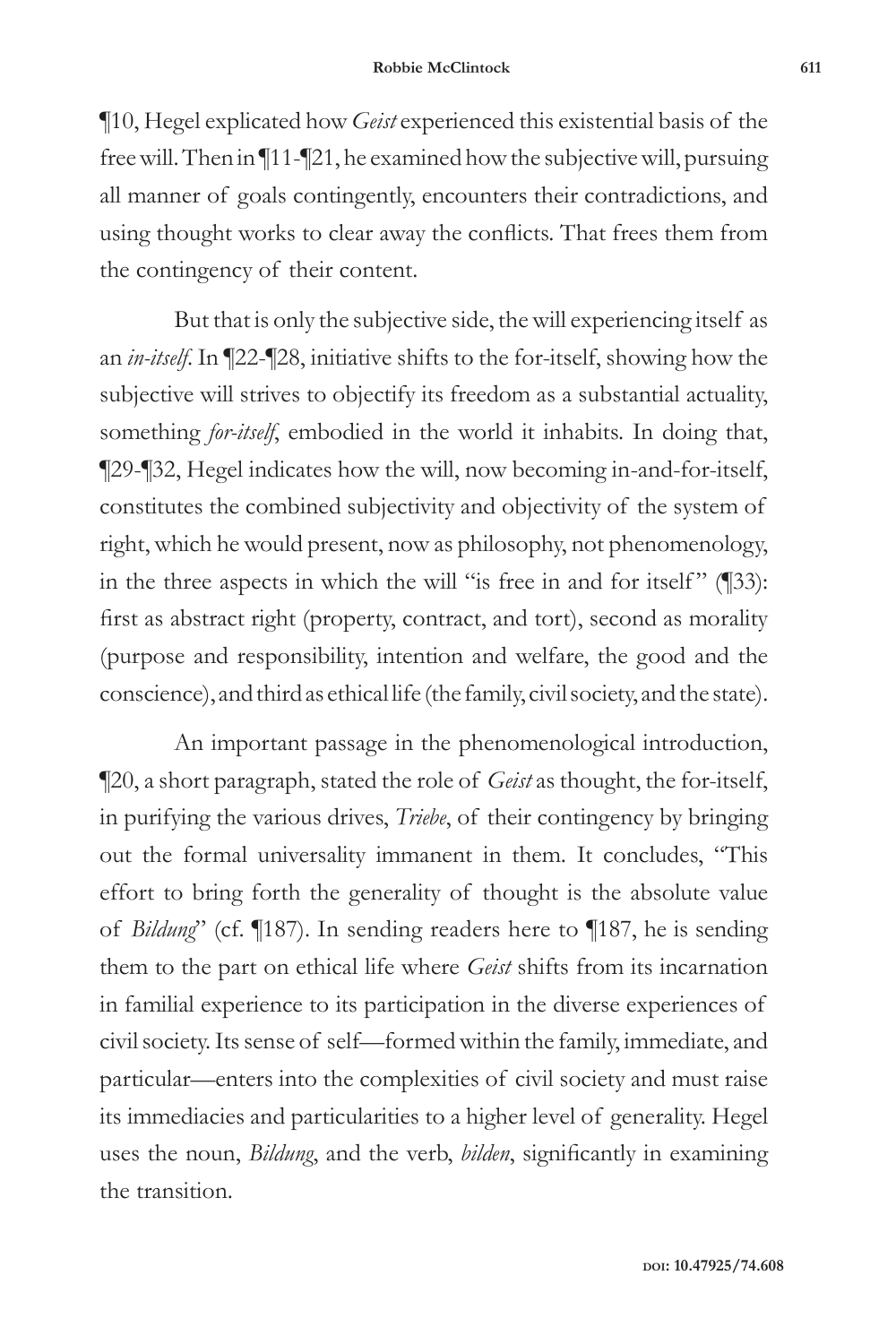¶10, Hegel explicated how *Geist* experienced this existential basis of the free will. Then in ¶11-¶21, he examined how the subjective will, pursuing all manner of goals contingently, encounters their contradictions, and using thought works to clear away the conflicts. That frees them from the contingency of their content.

But that is only the subjective side, the will experiencing itself as an *in-itself*. In ¶22-¶28, initiative shifts to the for-itself, showing how the subjective will strives to objectify its freedom as a substantial actuality, something *for-itself*, embodied in the world it inhabits. In doing that, ¶29-¶32, Hegel indicates how the will, now becoming in-and-for-itself, constitutes the combined subjectivity and objectivity of the system of right, which he would present, now as philosophy, not phenomenology, in the three aspects in which the will "is free in and for itself"  $(\sqrt{\phantom{a}}33)$ : first as abstract right (property, contract, and tort), second as morality (purpose and responsibility, intention and welfare, the good and the conscience), and third as ethical life (the family, civil society, and the state).

An important passage in the phenomenological introduction, ¶20, a short paragraph, stated the role of *Geist* as thought, the for-itself, in purifying the various drives, *Triebe*, of their contingency by bringing out the formal universality immanent in them. It concludes, "This effort to bring forth the generality of thought is the absolute value of *Bildung*" (cf. ¶187). In sending readers here to ¶187, he is sending them to the part on ethical life where *Geist* shifts from its incarnation in familial experience to its participation in the diverse experiences of civil society. Its sense of self—formed within the family, immediate, and particular—enters into the complexities of civil society and must raise its immediacies and particularities to a higher level of generality. Hegel uses the noun, *Bildung*, and the verb, *bilden*, significantly in examining the transition.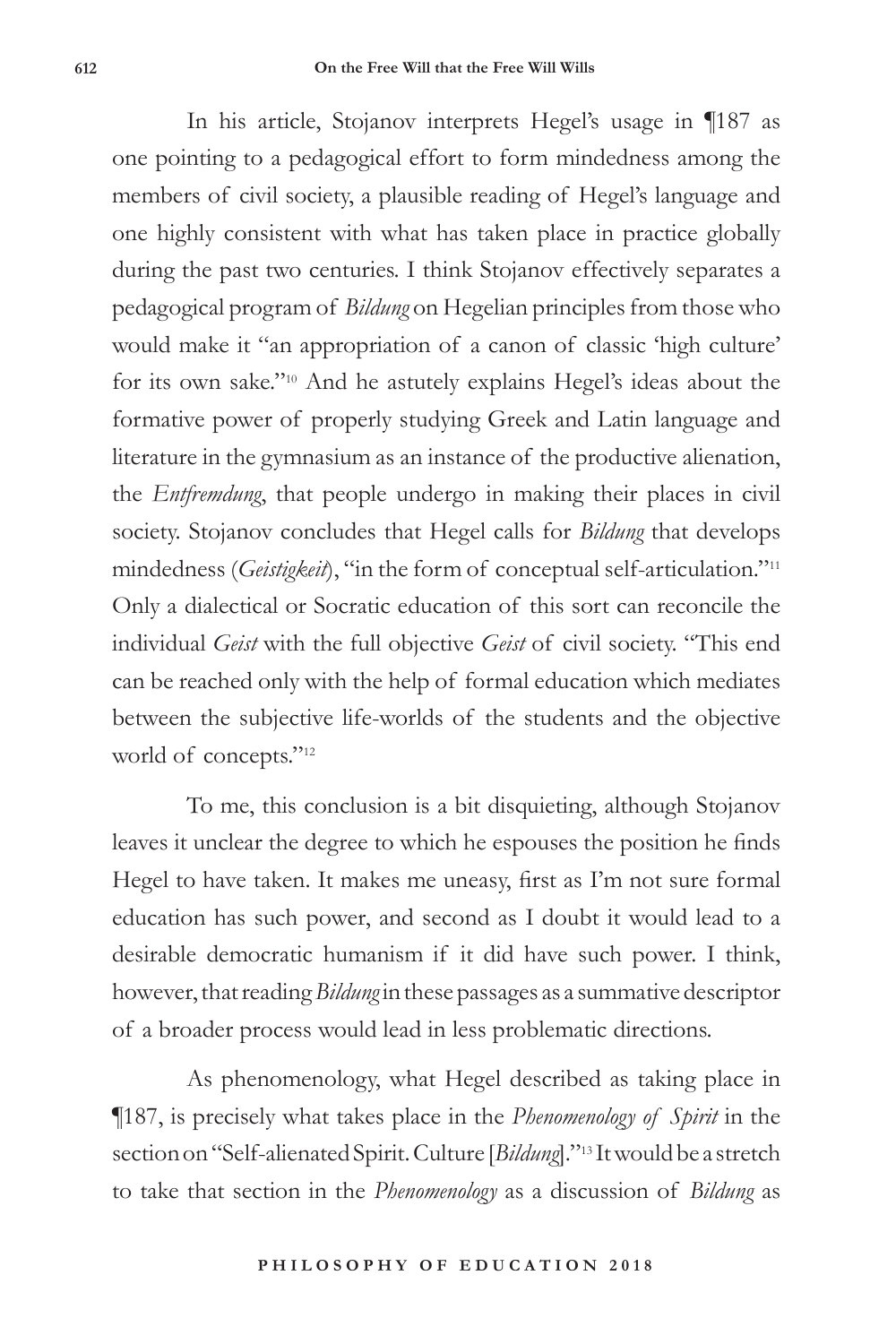In his article, Stojanov interprets Hegel's usage in ¶187 as one pointing to a pedagogical effort to form mindedness among the members of civil society, a plausible reading of Hegel's language and one highly consistent with what has taken place in practice globally during the past two centuries. I think Stojanov effectively separates a pedagogical program of *Bildung* on Hegelian principles from those who would make it "an appropriation of a canon of classic 'high culture' for its own sake."10 And he astutely explains Hegel's ideas about the formative power of properly studying Greek and Latin language and literature in the gymnasium as an instance of the productive alienation, the *Entfremdung*, that people undergo in making their places in civil society. Stojanov concludes that Hegel calls for *Bildung* that develops mindedness (*Geistigkeit*), "in the form of conceptual self-articulation."11 Only a dialectical or Socratic education of this sort can reconcile the individual *Geist* with the full objective *Geist* of civil society. "This end can be reached only with the help of formal education which mediates between the subjective life-worlds of the students and the objective world of concepts."<sup>12</sup>

To me, this conclusion is a bit disquieting, although Stojanov leaves it unclear the degree to which he espouses the position he finds Hegel to have taken. It makes me uneasy, first as I'm not sure formal education has such power, and second as I doubt it would lead to a desirable democratic humanism if it did have such power. I think, however, that reading *Bildung* in these passages as a summative descriptor of a broader process would lead in less problematic directions.

As phenomenology, what Hegel described as taking place in ¶187, is precisely what takes place in the *Phenomenology of Spirit* in the section on "Self-alienated Spirit. Culture [*Bildung*]."13 It would be a stretch to take that section in the *Phenomenology* as a discussion of *Bildung* as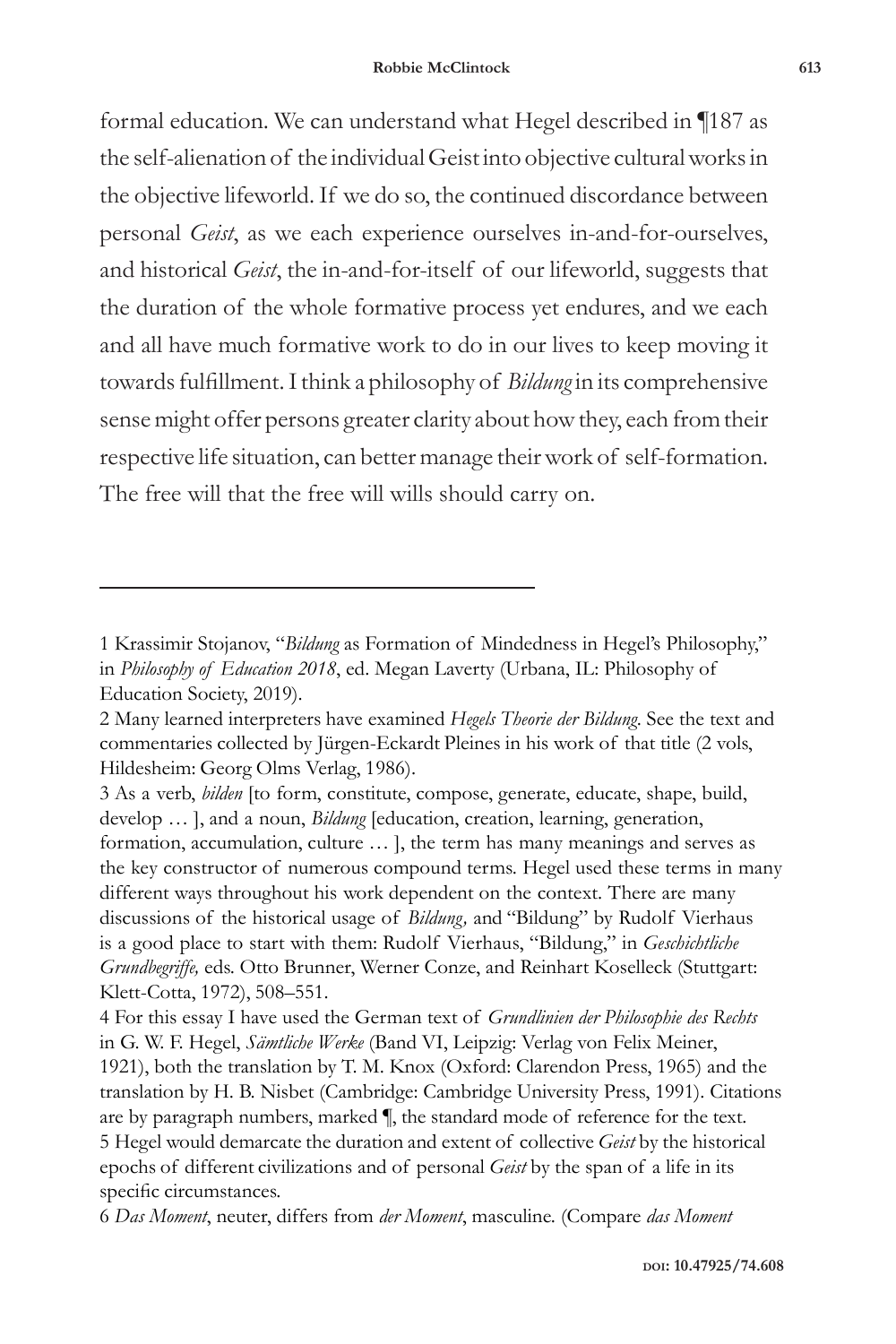formal education. We can understand what Hegel described in ¶187 as the self-alienation of the individual Geist into objective cultural works in the objective lifeworld. If we do so, the continued discordance between personal *Geist*, as we each experience ourselves in-and-for-ourselves, and historical *Geist*, the in-and-for-itself of our lifeworld, suggests that the duration of the whole formative process yet endures, and we each and all have much formative work to do in our lives to keep moving it towards fulfillment. I think a philosophy of *Bildung* in its comprehensive sense might offer persons greater clarity about how they, each from their respective life situation, can better manage their work of self-formation. The free will that the free will wills should carry on.

<sup>1</sup> Krassimir Stojanov, "*Bildung* as Formation of Mindedness in Hegel's Philosophy," in *Philosophy of Education 2018*, ed. Megan Laverty (Urbana, IL: Philosophy of Education Society, 2019).

<sup>2</sup> Many learned interpreters have examined *Hegels Theorie der Bildung*. See the text and commentaries collected by Jürgen-Eckardt Pleines in his work of that title (2 vols, Hildesheim: Georg Olms Verlag, 1986).

<sup>3</sup> As a verb, *bilden* [to form, constitute, compose, generate, educate, shape, build, develop … ], and a noun, *Bildung* [education, creation, learning, generation, formation, accumulation, culture … ], the term has many meanings and serves as the key constructor of numerous compound terms. Hegel used these terms in many different ways throughout his work dependent on the context. There are many discussions of the historical usage of *Bildung,* and "Bildung" by Rudolf Vierhaus is a good place to start with them: Rudolf Vierhaus, "Bildung," in *Geschichtliche Grundbegriffe,* eds. Otto Brunner, Werner Conze, and Reinhart Koselleck (Stuttgart: Klett-Cotta, 1972), 508–551.

<sup>4</sup> For this essay I have used the German text of *Grundlinien der Philosophie des Rechts* in G. W. F. Hegel, *Sämtliche Werke* (Band VI, Leipzig: Verlag von Felix Meiner, 1921), both the translation by T. M. Knox (Oxford: Clarendon Press, 1965) and the translation by H. B. Nisbet (Cambridge: Cambridge University Press, 1991). Citations are by paragraph numbers, marked ¶, the standard mode of reference for the text. 5 Hegel would demarcate the duration and extent of collective *Geist* by the historical epochs of different civilizations and of personal *Geist* by the span of a life in its specific circumstances.

<sup>6</sup> *Das Moment*, neuter, differs from *der Moment*, masculine. (Compare *das Moment*